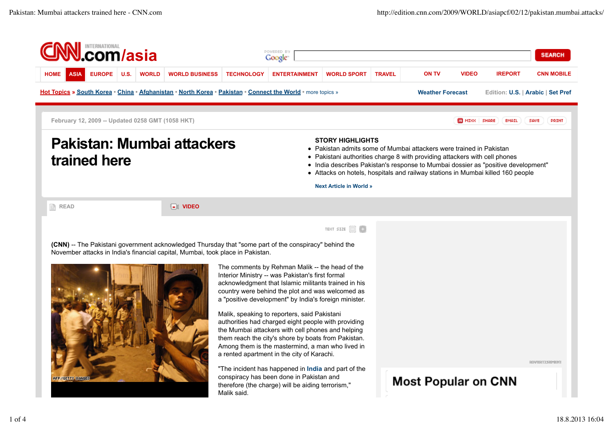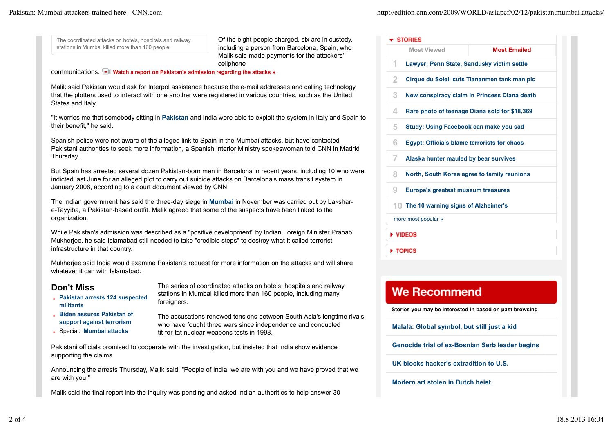The coordinated attacks on hotels, hospitals and railway stations in Mumbai killed more than 160 people.

Of the eight people charged, six are in custody, including a person from Barcelona, Spain, who Malik said made payments for the attackers' cellphone

communications. **Watch a report on Pakistan's admission regarding the attacks »** 

Malik said Pakistan would ask for Interpol assistance because the e-mail addresses and calling technology that the plotters used to interact with one another were registered in various countries, such as the United States and Italy.

"It worries me that somebody sitting in **Pakistan** and India were able to exploit the system in Italy and Spain to their benefit," he said.

Spanish police were not aware of the alleged link to Spain in the Mumbai attacks, but have contacted Pakistani authorities to seek more information, a Spanish Interior Ministry spokeswoman told CNN in Madrid Thursday.

But Spain has arrested several dozen Pakistan-born men in Barcelona in recent years, including 10 who were indicted last June for an alleged plot to carry out suicide attacks on Barcelona's mass transit system in January 2008, according to a court document viewed by CNN.

The Indian government has said the three-day siege in **Mumbai** in November was carried out by Lakshare-Tayyiba, a Pakistan-based outfit. Malik agreed that some of the suspects have been linked to the organization.

While Pakistan's admission was described as a "positive development" by Indian Foreign Minister Pranab Mukherjee, he said Islamabad still needed to take "credible steps" to destroy what it called terrorist infrastructure in that country.

Mukherjee said India would examine Pakistan's request for more information on the attacks and will share whatever it can with Islamabad.

## **Don't Miss**

- **Pakistan arrests 124 suspected militants**
- **Biden assures Pakistan of support against terrorism**
- Special: **Mumbai attacks**

The series of coordinated attacks on hotels, hospitals and railway stations in Mumbai killed more than 160 people, including many foreigners.

The accusations renewed tensions between South Asia's longtime rivals, who have fought three wars since independence and conducted tit-for-tat nuclear weapons tests in 1998.

Pakistani officials promised to cooperate with the investigation, but insisted that India show evidence supporting the claims.

Announcing the arrests Thursday, Malik said: "People of India, we are with you and we have proved that we are with you."

Malik said the final report into the inquiry was pending and asked Indian authorities to help answer 30

| <b>F</b> STORIES    |                                                    |                                               |  |
|---------------------|----------------------------------------------------|-----------------------------------------------|--|
|                     | <b>Most Viewed</b>                                 | <b>Most Emailed</b>                           |  |
| 1                   | Lawyer: Penn State, Sandusky victim settle         |                                               |  |
| 2                   |                                                    | Cirque du Soleil cuts Tiananmen tank man pic  |  |
| 3                   |                                                    | New conspiracy claim in Princess Diana death  |  |
| 4                   |                                                    | Rare photo of teenage Diana sold for \$18,369 |  |
| 5                   | Study: Using Facebook can make you sad             |                                               |  |
| 6                   | <b>Egypt: Officials blame terrorists for chaos</b> |                                               |  |
| 7                   | Alaska hunter mauled by bear survives              |                                               |  |
| 8                   | North, South Korea agree to family reunions        |                                               |  |
| 9                   | <b>Europe's greatest museum treasures</b>          |                                               |  |
|                     | 10 The 10 warning signs of Alzheimer's             |                                               |  |
| more most popular » |                                                    |                                               |  |
| <b>VIDEOS</b>       |                                                    |                                               |  |
| TOPICS              |                                                    |                                               |  |

## **We Recommend**

**Stories you may be interested in based on past browsing**

**Malala: Global symbol, but still just a kid**

**Genocide trial of ex-Bosnian Serb leader begins**

**UK blocks hacker's extradition to U.S.**

**Modern art stolen in Dutch heist**